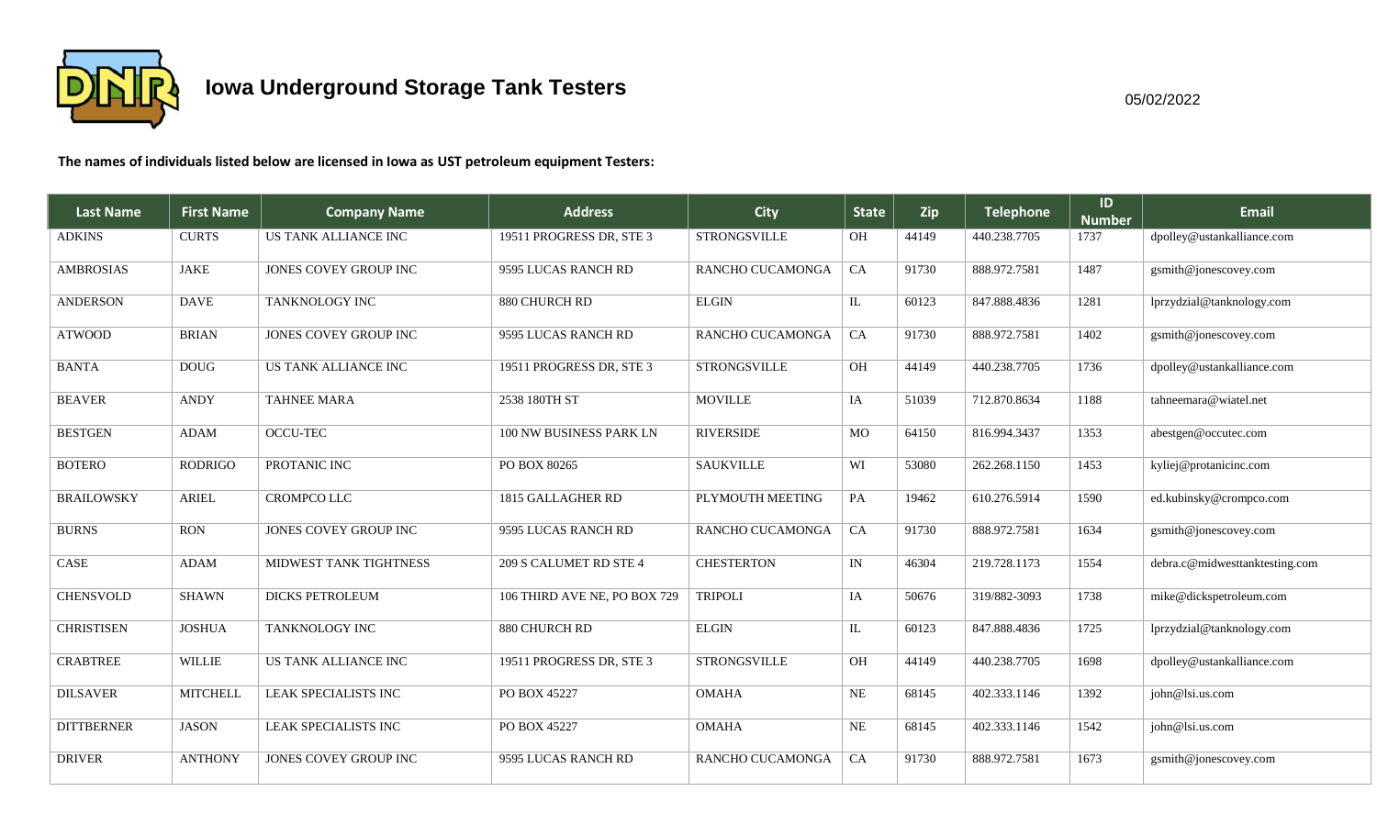

**The names of individuals listed below are licensed in Iowa as UST petroleum equipment Testers:**

| <b>Last Name</b>  | <b>First Name</b> | <b>Company Name</b>    | <b>Address</b>               | <b>City</b>         | <b>State</b> | Zip   | <b>Telephone</b> | ID<br><b>Number</b> | <b>Email</b>                   |
|-------------------|-------------------|------------------------|------------------------------|---------------------|--------------|-------|------------------|---------------------|--------------------------------|
| <b>ADKINS</b>     | <b>CURTS</b>      | US TANK ALLIANCE INC   | 19511 PROGRESS DR, STE 3     | <b>STRONGSVILLE</b> | OH           | 44149 | 440.238.7705     | 1737                | dpolley@ustankalliance.com     |
| <b>AMBROSIAS</b>  | <b>JAKE</b>       | JONES COVEY GROUP INC  | 9595 LUCAS RANCH RD          | RANCHO CUCAMONGA    | CA           | 91730 | 888.972.7581     | 1487                | gsmith@jonescovey.com          |
| <b>ANDERSON</b>   | <b>DAVE</b>       | TANKNOLOGY INC         | 880 CHURCH RD                | <b>ELGIN</b>        | ${\rm IL}$   | 60123 | 847.888.4836     | 1281                | lprzydzial@tanknology.com      |
| <b>ATWOOD</b>     | <b>BRIAN</b>      | JONES COVEY GROUP INC  | 9595 LUCAS RANCH RD          | RANCHO CUCAMONGA    | CA           | 91730 | 888.972.7581     | 1402                | gsmith@jonescovey.com          |
| <b>BANTA</b>      | <b>DOUG</b>       | US TANK ALLIANCE INC   | 19511 PROGRESS DR, STE 3     | <b>STRONGSVILLE</b> | <b>OH</b>    | 44149 | 440.238.7705     | 1736                | dpolley@ustankalliance.com     |
| <b>BEAVER</b>     | <b>ANDY</b>       | <b>TAHNEE MARA</b>     | 2538 180TH ST                | <b>MOVILLE</b>      | IA           | 51039 | 712.870.8634     | 1188                | tahneemara@wiatel.net          |
| <b>BESTGEN</b>    | <b>ADAM</b>       | OCCU-TEC               | 100 NW BUSINESS PARK LN      | <b>RIVERSIDE</b>    | MO           | 64150 | 816.994.3437     | 1353                | abestgen@occutec.com           |
| <b>BOTERO</b>     | <b>RODRIGO</b>    | PROTANIC INC           | PO BOX 80265                 | <b>SAUKVILLE</b>    | WI           | 53080 | 262.268.1150     | 1453                | kyliej@protanicinc.com         |
| <b>BRAILOWSKY</b> | <b>ARIEL</b>      | <b>CROMPCO LLC</b>     | 1815 GALLAGHER RD            | PLYMOUTH MEETING    | PA           | 19462 | 610.276.5914     | 1590                | ed.kubinsky@crompco.com        |
| <b>BURNS</b>      | <b>RON</b>        | JONES COVEY GROUP INC  | 9595 LUCAS RANCH RD          | RANCHO CUCAMONGA    | CA           | 91730 | 888.972.7581     | 1634                | gsmith@jonescovey.com          |
| CASE              | <b>ADAM</b>       | MIDWEST TANK TIGHTNESS | 209 S CALUMET RD STE 4       | <b>CHESTERTON</b>   | IN           | 46304 | 219.728.1173     | 1554                | debra.c@midwesttanktesting.com |
| <b>CHENSVOLD</b>  | <b>SHAWN</b>      | <b>DICKS PETROLEUM</b> | 106 THIRD AVE NE, PO BOX 729 | <b>TRIPOLI</b>      | IA           | 50676 | 319/882-3093     | 1738                | mike@dickspetroleum.com        |
| <b>CHRISTISEN</b> | <b>JOSHUA</b>     | TANKNOLOGY INC         | 880 CHURCH RD                | <b>ELGIN</b>        | $\mathbf{L}$ | 60123 | 847.888.4836     | 1725                | lprzydzial@tanknology.com      |
| <b>CRABTREE</b>   | <b>WILLIE</b>     | US TANK ALLIANCE INC   | 19511 PROGRESS DR, STE 3     | <b>STRONGSVILLE</b> | OH           | 44149 | 440.238.7705     | 1698                | dpolley@ustankalliance.com     |
| <b>DILSAVER</b>   | <b>MITCHELL</b>   | LEAK SPECIALISTS INC   | PO BOX 45227                 | <b>OMAHA</b>        | NE           | 68145 | 402.333.1146     | 1392                | john@lsi.us.com                |
| <b>DITTBERNER</b> | JASON             | LEAK SPECIALISTS INC   | PO BOX 45227                 | <b>OMAHA</b>        | NE           | 68145 | 402.333.1146     | 1542                | john@lsi.us.com                |
| <b>DRIVER</b>     | <b>ANTHONY</b>    | JONES COVEY GROUP INC  | 9595 LUCAS RANCH RD          | RANCHO CUCAMONGA    | CA           | 91730 | 888.972.7581     | 1673                | gsmith@jonescovey.com          |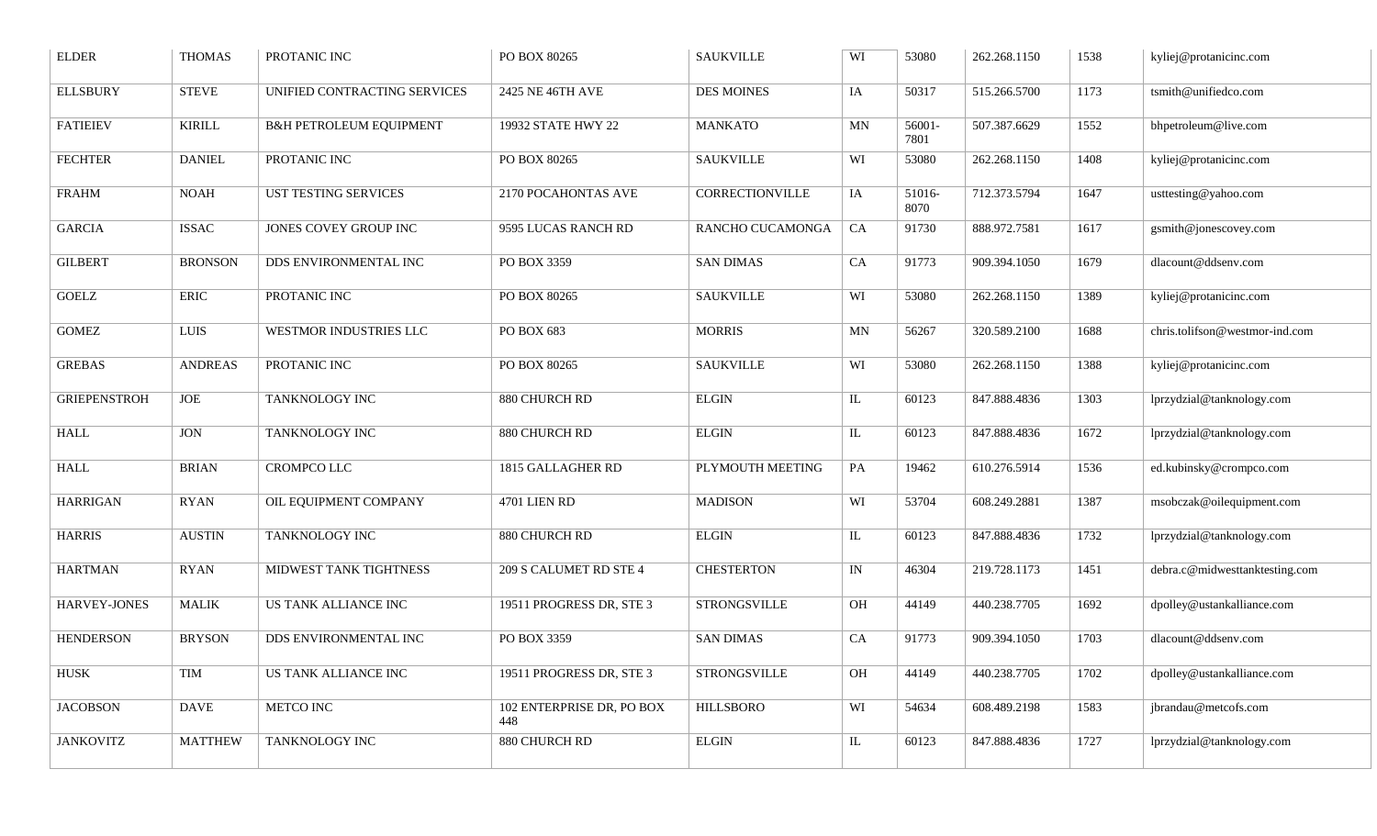| <b>ELDER</b>        | <b>THOMAS</b>  | PROTANIC INC                       | PO BOX 80265                     | <b>SAUKVILLE</b>  | WI       | 53080          | 262.268.1150 | 1538 | kyliej@protanicinc.com         |
|---------------------|----------------|------------------------------------|----------------------------------|-------------------|----------|----------------|--------------|------|--------------------------------|
| <b>ELLSBURY</b>     | <b>STEVE</b>   | UNIFIED CONTRACTING SERVICES       | 2425 NE 46TH AVE                 | <b>DES MOINES</b> | IA       | 50317          | 515.266.5700 | 1173 | tsmith@unifiedco.com           |
| <b>FATIEIEV</b>     | <b>KIRILL</b>  | <b>B&amp;H PETROLEUM EQUIPMENT</b> | 19932 STATE HWY 22               | <b>MANKATO</b>    | MN       | 56001-<br>7801 | 507.387.6629 | 1552 | bhpetroleum@live.com           |
| <b>FECHTER</b>      | <b>DANIEL</b>  | PROTANIC INC                       | PO BOX 80265                     | <b>SAUKVILLE</b>  | WI       | 53080          | 262.268.1150 | 1408 | kyliej@protanicinc.com         |
| <b>FRAHM</b>        | <b>NOAH</b>    | UST TESTING SERVICES               | 2170 POCAHONTAS AVE              | CORRECTIONVILLE   | IA       | 51016-<br>8070 | 712.373.5794 | 1647 | usttesting@yahoo.com           |
| <b>GARCIA</b>       | <b>ISSAC</b>   | JONES COVEY GROUP INC              | 9595 LUCAS RANCH RD              | RANCHO CUCAMONGA  | CA       | 91730          | 888.972.7581 | 1617 | gsmith@jonescovey.com          |
| <b>GILBERT</b>      | <b>BRONSON</b> | DDS ENVIRONMENTAL INC              | PO BOX 3359                      | <b>SAN DIMAS</b>  | CA       | 91773          | 909.394.1050 | 1679 | dlacount@ddsenv.com            |
| <b>GOELZ</b>        | <b>ERIC</b>    | PROTANIC INC                       | PO BOX 80265                     | <b>SAUKVILLE</b>  | WI       | 53080          | 262.268.1150 | 1389 | kyliej@protanicinc.com         |
| <b>GOMEZ</b>        | LUIS           | WESTMOR INDUSTRIES LLC             | PO BOX 683                       | <b>MORRIS</b>     | MN       | 56267          | 320.589.2100 | 1688 | chris.tolifson@westmor-ind.com |
| <b>GREBAS</b>       | <b>ANDREAS</b> | PROTANIC INC                       | PO BOX 80265                     | <b>SAUKVILLE</b>  | WI       | 53080          | 262.268.1150 | 1388 | kyliej@protanicinc.com         |
| <b>GRIEPENSTROH</b> | JOE            | TANKNOLOGY INC                     | 880 CHURCH RD                    | <b>ELGIN</b>      | IL       | 60123          | 847.888.4836 | 1303 | lprzydzial@tanknology.com      |
| <b>HALL</b>         | <b>JON</b>     | TANKNOLOGY INC                     | 880 CHURCH RD                    | <b>ELGIN</b>      | $\rm IL$ | 60123          | 847.888.4836 | 1672 | lprzydzial@tanknology.com      |
| <b>HALL</b>         | <b>BRIAN</b>   | CROMPCO LLC                        | 1815 GALLAGHER RD                | PLYMOUTH MEETING  | PA       | 19462          | 610.276.5914 | 1536 | ed.kubinsky@crompco.com        |
| <b>HARRIGAN</b>     | <b>RYAN</b>    | OIL EQUIPMENT COMPANY              | 4701 LIEN RD                     | <b>MADISON</b>    | WI       | 53704          | 608.249.2881 | 1387 | msobczak@oilequipment.com      |
| <b>HARRIS</b>       | <b>AUSTIN</b>  | TANKNOLOGY INC                     | 880 CHURCH RD                    | <b>ELGIN</b>      | IL       | 60123          | 847.888.4836 | 1732 | lprzydzial@tanknology.com      |
| <b>HARTMAN</b>      | <b>RYAN</b>    | MIDWEST TANK TIGHTNESS             | 209 S CALUMET RD STE 4           | <b>CHESTERTON</b> | IN       | 46304          | 219.728.1173 | 1451 | debra.c@midwesttanktesting.com |
| HARVEY-JONES        | <b>MALIK</b>   | <b>US TANK ALLIANCE INC</b>        | 19511 PROGRESS DR, STE 3         | STRONGSVILLE      | OH       | 44149          | 440.238.7705 | 1692 | dpolley@ustankalliance.com     |
| <b>HENDERSON</b>    | <b>BRYSON</b>  | DDS ENVIRONMENTAL INC              | PO BOX 3359                      | <b>SAN DIMAS</b>  | CA       | 91773          | 909.394.1050 | 1703 | dlacount@ddsenv.com            |
| HUSK                | TIM            | US TANK ALLIANCE INC               | 19511 PROGRESS DR, STE 3         | STRONGSVILLE      | OH       | 44149          | 440.238.7705 | 1702 | dpolley@ustankalliance.com     |
| <b>JACOBSON</b>     | <b>DAVE</b>    | METCO INC                          | 102 ENTERPRISE DR, PO BOX<br>448 | <b>HILLSBORO</b>  | WI       | 54634          | 608.489.2198 | 1583 | jbrandau@metcofs.com           |
| <b>JANKOVITZ</b>    | <b>MATTHEW</b> | TANKNOLOGY INC                     | 880 CHURCH RD                    | <b>ELGIN</b>      | $\rm IL$ | 60123          | 847.888.4836 | 1727 | lprzydzial@tanknology.com      |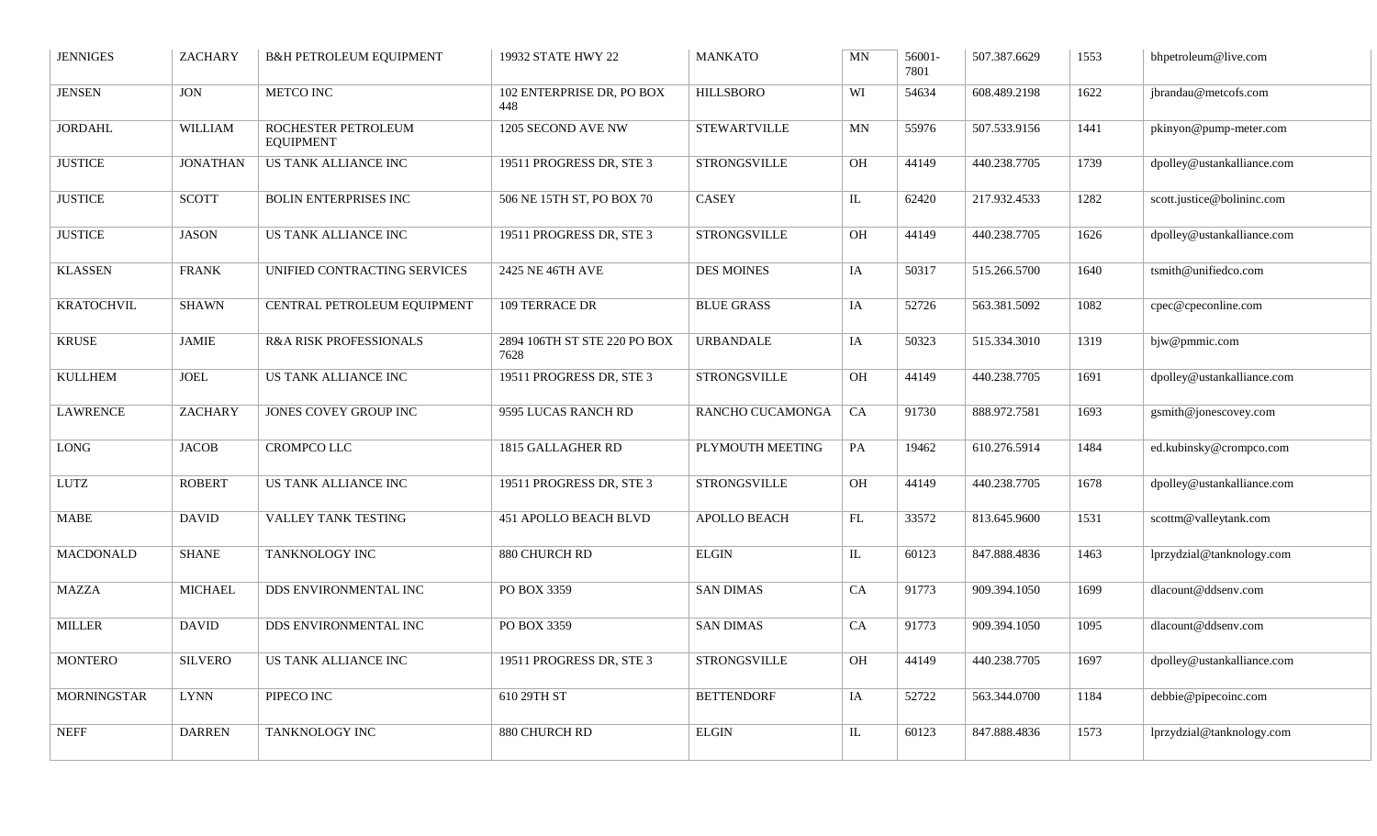| <b>JENNIGES</b>    | <b>ZACHARY</b>             | <b>B&amp;H PETROLEUM EQUIPMENT</b>      | 19932 STATE HWY 22                   | <b>MANKATO</b>      | MN                         | 56001-<br>7801 | 507.387.6629 | 1553 | bhpetroleum@live.com       |
|--------------------|----------------------------|-----------------------------------------|--------------------------------------|---------------------|----------------------------|----------------|--------------|------|----------------------------|
| <b>JENSEN</b>      | <b>JON</b>                 | <b>METCO INC</b>                        | 102 ENTERPRISE DR, PO BOX<br>448     | <b>HILLSBORO</b>    | WI                         | 54634          | 608.489.2198 | 1622 | jbrandau@metcofs.com       |
| <b>JORDAHL</b>     | <b>WILLIAM</b>             | ROCHESTER PETROLEUM<br><b>EQUIPMENT</b> | 1205 SECOND AVE NW                   | <b>STEWARTVILLE</b> | $\ensuremath{\text{MN}}$   | 55976          | 507.533.9156 | 1441 | pkinyon@pump-meter.com     |
| <b>JUSTICE</b>     | <b>JONATHAN</b>            | <b>US TANK ALLIANCE INC</b>             | 19511 PROGRESS DR, STE 3             | <b>STRONGSVILLE</b> | OH                         | 44149          | 440.238.7705 | 1739 | dpolley@ustankalliance.com |
| <b>JUSTICE</b>     | <b>SCOTT</b>               | <b>BOLIN ENTERPRISES INC</b>            | 506 NE 15TH ST, PO BOX 70            | <b>CASEY</b>        | $\overline{\mathbf{L}}$    | 62420          | 217.932.4533 | 1282 | scott.justice@bolininc.com |
| <b>JUSTICE</b>     | <b>JASON</b>               | US TANK ALLIANCE INC                    | 19511 PROGRESS DR, STE 3             | <b>STRONGSVILLE</b> | OH                         | 44149          | 440.238.7705 | 1626 | dpolley@ustankalliance.com |
| <b>KLASSEN</b>     | <b>FRANK</b>               | UNIFIED CONTRACTING SERVICES            | 2425 NE 46TH AVE                     | <b>DES MOINES</b>   | IA                         | 50317          | 515.266.5700 | 1640 | tsmith@unifiedco.com       |
| <b>KRATOCHVIL</b>  | <b>SHAWN</b>               | CENTRAL PETROLEUM EQUIPMENT             | 109 TERRACE DR                       | <b>BLUE GRASS</b>   | IA                         | 52726          | 563.381.5092 | 1082 | cpec@cpeconline.com        |
| <b>KRUSE</b>       | <b>JAMIE</b>               | R&A RISK PROFESSIONALS                  | 2894 106TH ST STE 220 PO BOX<br>7628 | <b>URBANDALE</b>    | IA                         | 50323          | 515.334.3010 | 1319 | bjw@pmmic.com              |
| <b>KULLHEM</b>     | $\ensuremath{\text{JOEL}}$ | US TANK ALLIANCE INC                    | 19511 PROGRESS DR, STE 3             | <b>STRONGSVILLE</b> | OH                         | 44149          | 440.238.7705 | 1691 | dpolley@ustankalliance.com |
| <b>LAWRENCE</b>    | <b>ZACHARY</b>             | JONES COVEY GROUP INC                   | 9595 LUCAS RANCH RD                  | RANCHO CUCAMONGA    | CA                         | 91730          | 888.972.7581 | 1693 | $g$ smith@jonescovey.com   |
| <b>LONG</b>        | <b>JACOB</b>               | CROMPCO LLC                             | 1815 GALLAGHER RD                    | PLYMOUTH MEETING    | PA                         | 19462          | 610.276.5914 | 1484 | ed.kubinsky@crompco.com    |
| <b>LUTZ</b>        | <b>ROBERT</b>              | US TANK ALLIANCE INC                    | 19511 PROGRESS DR, STE 3             | <b>STRONGSVILLE</b> | OH                         | 44149          | 440.238.7705 | 1678 | dpolley@ustankalliance.com |
| <b>MABE</b>        | <b>DAVID</b>               | VALLEY TANK TESTING                     | <b>451 APOLLO BEACH BLVD</b>         | APOLLO BEACH        | $\mathop{\rm FL}\nolimits$ | 33572          | 813.645.9600 | 1531 | scottm@valleytank.com      |
| <b>MACDONALD</b>   | <b>SHANE</b>               | TANKNOLOGY INC                          | 880 CHURCH RD                        | <b>ELGIN</b>        | $\rm IL$                   | 60123          | 847.888.4836 | 1463 | lprzydzial@tanknology.com  |
| <b>MAZZA</b>       | <b>MICHAEL</b>             | DDS ENVIRONMENTAL INC                   | PO BOX 3359                          | <b>SAN DIMAS</b>    | CA                         | 91773          | 909.394.1050 | 1699 | dlacount@ddsenv.com        |
| <b>MILLER</b>      | <b>DAVID</b>               | DDS ENVIRONMENTAL INC                   | PO BOX 3359                          | <b>SAN DIMAS</b>    | CA                         | 91773          | 909.394.1050 | 1095 | dlacount@ddsenv.com        |
| <b>MONTERO</b>     | <b>SILVERO</b>             | US TANK ALLIANCE INC                    | 19511 PROGRESS DR, STE 3             | <b>STRONGSVILLE</b> | OH                         | 44149          | 440.238.7705 | 1697 | dpolley@ustankalliance.com |
| <b>MORNINGSTAR</b> | <b>LYNN</b>                | PIPECO INC                              | 610 29TH ST                          | <b>BETTENDORF</b>   | IA                         | 52722          | 563.344.0700 | 1184 | debbie@pipecoinc.com       |
| <b>NEFF</b>        | <b>DARREN</b>              | TANKNOLOGY INC                          | 880 CHURCH RD                        | <b>ELGIN</b>        | $\rm IL$                   | 60123          | 847.888.4836 | 1573 | lprzydzial@tanknology.com  |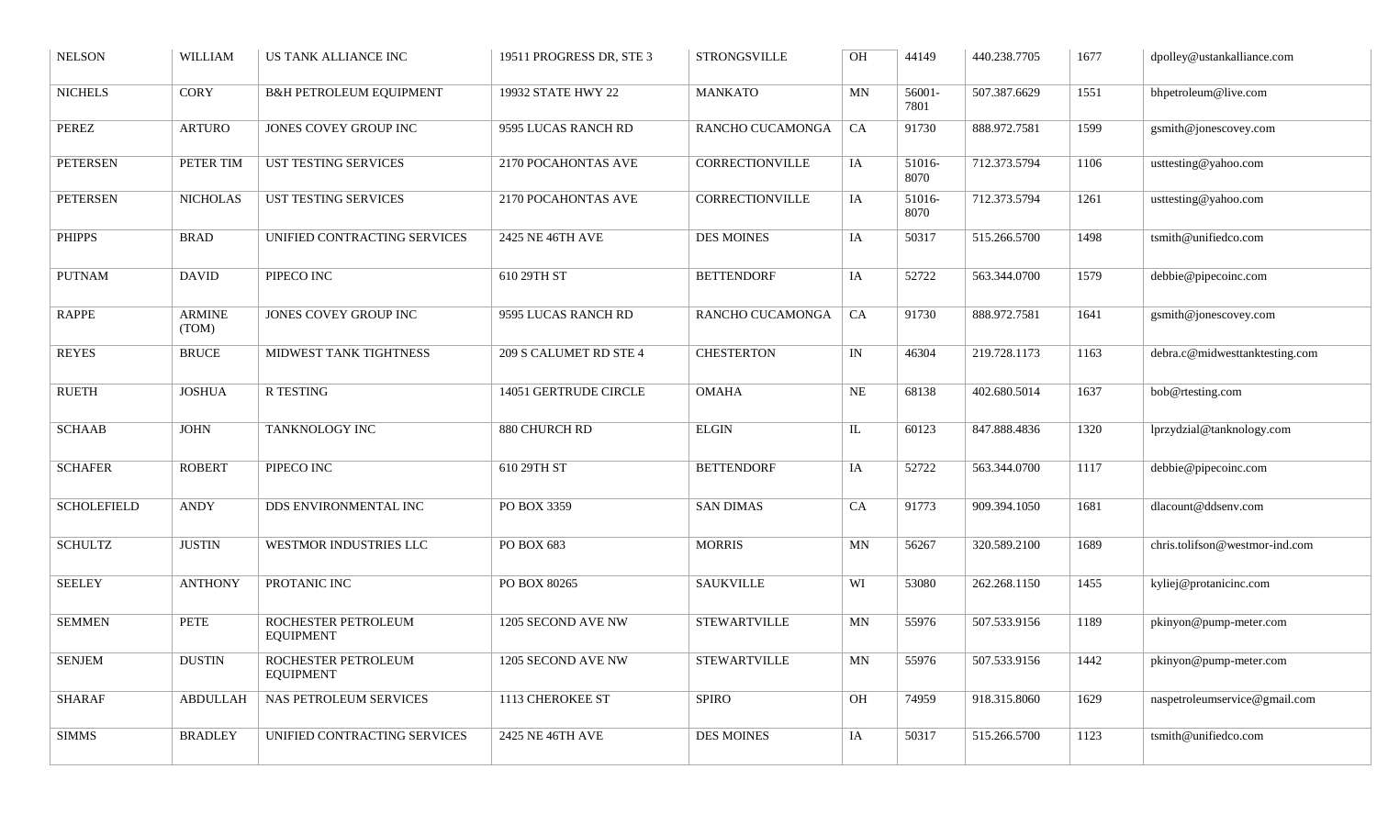| <b>NELSON</b>      | <b>WILLIAM</b>  | US TANK ALLIANCE INC                    | 19511 PROGRESS DR, STE 3 | <b>STRONGSVILLE</b> | OH        | 44149          | 440.238.7705 | 1677   | dpolley@ustankalliance.com     |
|--------------------|-----------------|-----------------------------------------|--------------------------|---------------------|-----------|----------------|--------------|--------|--------------------------------|
| <b>NICHELS</b>     | <b>CORY</b>     | <b>B&amp;H PETROLEUM EQUIPMENT</b>      | 19932 STATE HWY 22       | <b>MANKATO</b>      | MN        | 56001-<br>7801 | 507.387.6629 | 1551   | bhpetroleum@live.com           |
| PEREZ              | <b>ARTURO</b>   | JONES COVEY GROUP INC                   | 9595 LUCAS RANCH RD      | RANCHO CUCAMONGA    | CA        | 91730          | 888.972.7581 | 1599   | gsmith@jonescovey.com          |
| <b>PETERSEN</b>    | PETER TIM       | UST TESTING SERVICES                    | 2170 POCAHONTAS AVE      | CORRECTIONVILLE     | IA        | 51016-<br>8070 | 712.373.5794 | 1106   | usttesting@yahoo.com           |
| <b>PETERSEN</b>    | <b>NICHOLAS</b> | UST TESTING SERVICES                    | 2170 POCAHONTAS AVE      | CORRECTIONVILLE     | IA        | 51016-<br>8070 | 712.373.5794 | 1261   | usttesting@yahoo.com           |
| <b>PHIPPS</b>      | <b>BRAD</b>     | UNIFIED CONTRACTING SERVICES            | 2425 NE 46TH AVE         | <b>DES MOINES</b>   | IA        | 50317          | 515.266.5700 | 1498   | tsmith@unifiedco.com           |
| <b>PUTNAM</b>      | <b>DAVID</b>    | PIPECO INC                              | 610 29TH ST              | <b>BETTENDORF</b>   | IA        | 52722          | 563.344.0700 | 1579   | debbie@pipecoinc.com           |
| RAPPE              | ARMINE<br>(TOM) | JONES COVEY GROUP INC                   | 9595 LUCAS RANCH RD      | RANCHO CUCAMONGA    | CA        | 91730          | 888.972.7581 | 1641   | gsmith@jonescovey.com          |
| <b>REYES</b>       | <b>BRUCE</b>    | MIDWEST TANK TIGHTNESS                  | 209 S CALUMET RD STE 4   | <b>CHESTERTON</b>   | IN        | 46304          | 219.728.1173 | 1163   | debra.c@midwesttanktesting.com |
| <b>RUETH</b>       | <b>JOSHUA</b>   | <b>R TESTING</b>                        | 14051 GERTRUDE CIRCLE    | <b>OMAHA</b>        | NE        | 68138          | 402.680.5014 | 1637   | bob@rtesting.com               |
| <b>SCHAAB</b>      | <b>JOHN</b>     | TANKNOLOGY INC                          | 880 CHURCH RD            | <b>ELGIN</b>        | IL        | 60123          | 847.888.4836 | 1320   | lprzydzial@tanknology.com      |
| <b>SCHAFER</b>     | <b>ROBERT</b>   | PIPECO INC                              | 610 29TH ST              | <b>BETTENDORF</b>   | IA        | 52722          | 563.344.0700 | 1117   | debbie@pipecoinc.com           |
| <b>SCHOLEFIELD</b> | <b>ANDY</b>     | DDS ENVIRONMENTAL INC                   | PO BOX 3359              | <b>SAN DIMAS</b>    | CA        | 91773          | 909.394.1050 | 1681   | dlacount@ddsenv.com            |
| <b>SCHULTZ</b>     | <b>JUSTIN</b>   | WESTMOR INDUSTRIES LLC                  | PO BOX 683               | <b>MORRIS</b>       | MN        | 56267          | 320.589.2100 | 1689   | chris.tolifson@westmor-ind.com |
| <b>SEELEY</b>      | <b>ANTHONY</b>  | PROTANIC INC                            | PO BOX 80265             | <b>SAUKVILLE</b>    | WI        | 53080          | 262.268.1150 | 1455   | kyliej@protanicinc.com         |
| <b>SEMMEN</b>      | <b>PETE</b>     | ROCHESTER PETROLEUM<br><b>EQUIPMENT</b> | 1205 SECOND AVE NW       | <b>STEWARTVILLE</b> | <b>MN</b> | 55976          | 507.533.9156 | 1189   | pkinyon@pump-meter.com         |
| <b>SENJEM</b>      | $\rm DUSTIN$    | ROCHESTER PETROLEUM<br><b>EQUIPMENT</b> | 1205 SECOND AVE NW       | <b>STEWARTVILLE</b> | MN        | 55976          | 507.533.9156 | $1442$ | pkinyon@pump-meter.com         |
| <b>SHARAF</b>      | <b>ABDULLAH</b> | NAS PETROLEUM SERVICES                  | 1113 CHEROKEE ST         | SPIRO               | OH        | 74959          | 918.315.8060 | 1629   | naspetroleumservice@gmail.com  |
| <b>SIMMS</b>       | <b>BRADLEY</b>  | UNIFIED CONTRACTING SERVICES            | 2425 NE 46TH AVE         | <b>DES MOINES</b>   | IA        | 50317          | 515.266.5700 | 1123   | tsmith@unifiedco.com           |